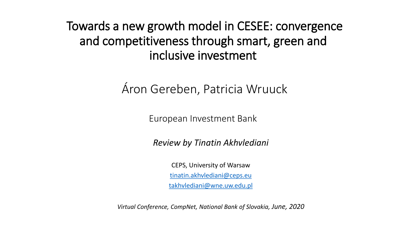Towards a new growth model in CESEE: convergence and competitiveness through smart, green and inclusive investment

Áron Gereben, Patricia Wruuck

European Investment Bank

*Review by Tinatin Akhvlediani*

CEPS, University of Warsaw [tinatin.akhvlediani@ceps.eu](mailto:tinatin.akhvlediani@ceps.eu) [takhvlediani@wne.uw.edu.pl](mailto:takhvlediani@wne.uw.edu.pl)

*Virtual Conference, CompNet, National Bank of Slovakia, June, 2020*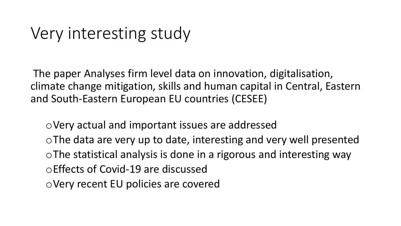## Very interesting study

The paper Analyses firm level data on innovation, digitalisation, climate change mitigation, skills and human capital in Central, Eastern and South-Eastern European EU countries (CESEE)

oVery actual and important issues are addressed oThe data are very up to date, interesting and very well presented oThe statistical analysis is done in a rigorous and interesting way oEffects of Covid-19 are discussed oVery recent EU policies are covered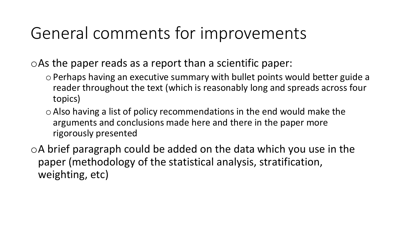## General comments for improvements

oAs the paper reads as a report than a scientific paper:

- oPerhaps having an executive summary with bullet points would better guide a reader throughout the text (which is reasonably long and spreads across four topics)
- $\circ$  Also having a list of policy recommendations in the end would make the arguments and conclusions made here and there in the paper more rigorously presented

oA brief paragraph could be added on the data which you use in the paper (methodology of the statistical analysis, stratification, weighting, etc)